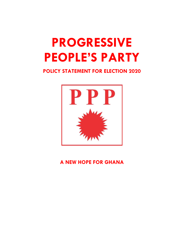# **PROGRESSIVE** PEOPLE'S PARTY

POLICY STATEMENT FOR ELECTION 2020



A NEW HOPE FOR GHANA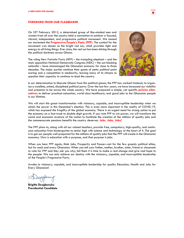## FOREWORD FROM OUR FLAGBEARER

On 25<sup>th</sup> February 2012, a determined group of like-minded men and women from all over the country held a convention to outdoor a focused, vibrant, independent, and progressive political movement. We named our movement the **Progressive People's Party (PPP)**. The symbol for the movement was chosen as the bright red sun, which provides light and energy to all living things. Ever since, the red sun has been shining through the political darkness across Ghana.

The ruling New Patriotic Party (NPP) – the trampling elephant – and the main opposition National Democratic Congress (NDC) – the sun-blocking umbrella – have mismanaged the Ghanaian economy for close to three decades. The major parties continue their game of petty political point scoring and a competition in mediocrity, leaving many of its citizens to question their capacity to continue to lead the country.



In our determination to liberate Ghana from this political gloom, the PPP has worked tirelessly to organize a credible, united, disciplined political party. Over the last few years, we have increased our visibility and presence to be across the whole country. We have prepared a simple, yet specific policies alternatives to deliver practical education, world-class healthcare, and good jobs to the Ghanaian people in our lifetime.

We will start this great transformation with visionary, capable, and incorruptible leadership when we attain the power in this December's election. This is even more important in the reality of COVID-19, which has exposed the fragility of the global economy. There is an urgent need for strong action to put the economy on a fast-track to double-digit growth. If you vote PPP to win power, we will transform the social and economic structure of the nation to facilitate the creation of the millions of quality jobs and the commensurate pensions benefits the country deserves. Jobs, Jobs, Jobs!

The PPP plans to, along with all our valued teachers, provide free, compulsory, high-quality, and continuous education from kindergarten to senior high with science and technology at the heart of it. The goal is to get our people well-prepared for the millions of quality jobs that the PPP will create in the Ghanaian economy. Ours is education with a purpose, and that purpose is jobs.

When you hear PPP again, think Jobs, Prosperity and Peace—not for the few greedy political elites, but for each and every Ghanaian. When you tell your father, mother, brother, sister, friend or classmate to vote for PPP and they ask you why; tell them it is time to make a real change and give real hope to the people. We can only achieve our destiny with the visionary, capable, and incorruptible leadership of the People's Progressive Party.

Awake to visionary, capable, and incorruptible leadership for quality Education, Health and Jobs for Every Ghanaian!

Brigitte Dzogbenuku Presidential Candidate

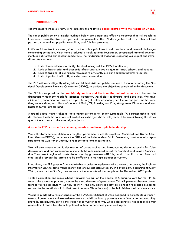

# 1. INTRODUCTION

The Progressive People's Party (PPP) presents the following social contract with the People of Ghana.

The set of public policy principles outlined below are potent and effective measures that will transform Ghana and make its citizens prosperous in one generation. The PPP distinguishes itself from other political parties by not making populist, unrealistic, and faithless promises.

In this social contract, we are guided by the policy principles to address four fundamental challenges confronting our nation, which have produced a weak national foundation, constrained national development, and distorted our nascent democracy. The fundamental challenges requiring our urgent and immediate attention are:

- 1. Lack of amendments to rectify the shortcomings of the 1992 Constitution;
- 2. Lack of basic social and economic infrastructure, including quality roads, schools, and housing;
- 3. Lack of training of our human resources to efficiently use our abundant natural resources;
- 4. Lack of political will to fight widespread corruption.

The PPP will work diligently alongside established civil and public services of Ghana, including the National Development Planning Commission (NDPC), to achieve the objectives contained in this document.

The PPP has mapped out the **youthful dynamism and the bountiful natural resources** to be used to dramatically meet our needs for practical education, world-class healthcare, and good jobs. We have millions of young men and women desperate to get better education, healthcare and jobs. At the same time, we are sitting on trillions of dollars of Gold, Oil, Bauxite, Iron Ore, Manganese, Diamonds and vast tracts of fertile, arable land.

A greed-based winner-takes-all governance system is no longer sustainable. We cannot achieve real development with the same old political elites in charge, who selfishly benefit from maintaining the status quo at the expense of the sovereign majority.

#### A vote for PPP is a vote for visionary, capable, and incorruptible leadership.

We will reform our constitution to strengthen parliament, elect Metropolitan, Municipal and District Chief Executives (MMDCEs), and create the Office of the Independent Public Prosecutor, constitutionally separate from the Minister of Justice, to root out government corruption.

We will also pursue a public declaration of assets regime and introduce legislation to punish for false declarations and non-compliance in line with the recommendations of the Constitutional Review Commission. The current regime of assets declaration by government officials, head of public corporations and other public servants has proven to be ineffective in the fight against corruption.

In addition, the PPP gives a firm, unshakable promise to implement with a sense of urgency, the Right to Information Law, to bring transparency and encourage accountability in government, beginning January 2021, when by the God's grace we secure the mandate of the people at the December 2020 polls.

To stop corruption and move Ghana forward, we call on the people of Ghana, to vote for the PPP to correct the excessive powers given to the executive arm of government. This will prevent absolute power from corrupting absolutely. So far, the PPP is the only political party bold enough to pledge sweeping reforms to the constitution in its first term to ensure Ghanaians enjoy the full dividends of our democracy.

We have pledged to review aspects of the 1992 constitution that were designed to perpetuate a winnertakes-all government with excessive executive and discretionary powers; where little or no accountability prevails, consequently setting the stage for corruption to thrive. Ghana desperately needs to make that generational choice to reform its political system, so our country can work again.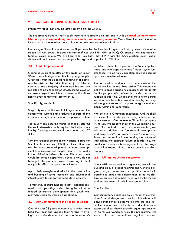

## 2. EMPOWERED PEOPLE IN AN INCLUSIVE SOCIETY

Prosperity for all can only be attained by a united Ghana.

The Progressive People's Party seeks your vote to create a united society with a **shared vision to make** Ghana a just, disciplined, high-income country within one generation. We will use the best Ghanaian human resource available, both at home and abroad, to deliver this vision.

Every single Ghanaian must know that if you vote for the People's Progressive Party, you as a Ghanaian citizen will win power. It does not matter if you are PPP, NPP, or NDC; Christian or Muslim; male or female; young or old. We are here to let you know that if PPP wins the 2020 election, every single citizen will be A winner, no matter your background or political affiliation.

#### 2.1. Youth Empowerment

Ghana has more than 60% of its population under 30years constituting some 18million young people. Ordinarily that should lead to a harvest of demographic dividend for education and jobs. Unfortunately, a large majority of that age bracket are reported to be either out of school, unemployed or under-employed. We intend to reverse this situation to avert a national security crisis.

#### Specifically, we shall:

Surgically remove the weak linkages between the educational system and productive sectors of the economy through our education for purpose policy.

Thoroughly eliminate the mismatch of skills offered the youth vis-à-vis what is required by the job market by focusing on technical, vocational and ICT skills.

Turn the regional offices of the National Board for Small Scale Industries (NBSSI) into incubation centres for entrepreneurship and business development to encourage self-employment by the youth. In the spirit of inclusive society, no Ghanaian youth would be denied opportunity because they do not belong to the party in power. Never again shall our youth suffer from such discrimination.

Apply their energies and skills into the construction and building of social, economic and educational infrastructure to support national development.

To that end, all state funded "party" agencies created and operating under the guise of state funded enterprise development and youth employment schemes, would be abolished.

## 2.2. Our Commitment to the People of Ghana

Over the past 28 years, two political parties, have tried their best and applied their "property owning" and "social democracy" ideas to the country's problems. Theirs have produced a "one step forward and two steps backward" vicious cycle. Under these two parties, corruption has been scaled up to unprecedented levels.

Our orientation and our core beliefs about the world we live in are Progressive. This means we believe in broad-based human progress that is felt by the people. We believe that under our incorruptible leadership, Ghana shall move from a third world nation to a first world nation by working with a great sense of purpose, integrity and urgency within one generation.

We believe in Ghanaian excellence. And we shall offer excellent leadership in every sphere of our administration. We believe in Ghanaian prosperity for all. We believe in all of the Ghanaian people. Our pact with you is that, once elected, we will work to deliver transformational development and progress. We will work to move Ghana away from the competition in mediocrity, the culture of indiscipline, the constant failure of leadership, the cruelty of resource mismanagement and the tragedy of low expectations of our economic transformation.

#### 2.3. Affirmative Action for Women

In our affirmative action programme, we will be building skills, providing training and working diligently to guarantee seats and positions to make it possible to break male domination in the legislature, executive and judiciary, as well as the media and entrepreneurship within one generation.

#### Specifically:

Our compulsory education policy for all of our children from kindergarten to senior high school will ensure that our girls receive a complete and decent education just as the boys. Education as a great equalizer should provide equal opportunity in life for our women as well. This programme will solve all the inequalities against women,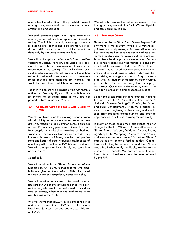guarantee the education of the girl-child, prevent teenage pregnancy and lead to women empowerment and emancipation.

We shall promote proportional representation to ensure gender balance in all spheres of Ghanaian society. The PPP has actively encouraged women to become presidential and parliamentary candidates. Affirmative action in politics cannot be done only by reducing nomination fees.

We will put into place the Women's Enterprise Development Agency to train, encourage and promote the growth and development of women entrepreneurs in the country. This will include technical assistance, low interest loans and the setting aside of portions of government contracts to enterprises founded and managed by women. This would be accessible to all Ghanaian women.

The PPP will ensure the passage of the Affirmative Action and Property Rights of Spouses Bills within six months of assuming office if they are not passed before January 7, 2021.

## 2.4. Adequate Care for People with Disability (PWD)

We pledge to continue to encourage people living with disability in our society to embrace the progressive, humanistic and common-sense approach of the PPP to solving problems. Ghana has very few people with disability working as business women and men, nurses, traders, teachers, doctors, lawyers, bankers, ministers, members of parliament and heads of state institutions etc. because of a lack of political will to put PWDs in such positions. We will change that immediately we come into power in 2021.

#### Specifically:

We will work with the Ghana Federation of the Disabled (GFD) to ensure that children with disability are given all the special facilities they need to study under our compulsory education policy.

We will sanction healthcare professionals who intimidate PWD patients at their facilities while corrective surgeries would be performed for children free of charge, when required and as early as possible under the NHIS.

We will ensure that all MDAs make public facilities and services accessible to PWDs as well as make Legal Aid Services free and easily accessible for all PWDs.

We will also ensure the full enforcement of the laws governing accessibility for PWDs to all public and commercial buildings.

## 2.5. Forgotten Ghana

There is no "Better Ghana" or "Ghana Beyond Aid' anywhere in the country. While government appointees past and present, sit in air-conditioned offices and media houses to engage in endless arguments over statistics, the people out there are suffering from the slow pace of development. Successive administrations given the mandate to end poverty in all forms have failed. The PPP insists government(s) have failed because some communities are still drinking disease infected water and they are driving on dangerous roads. They are saddled with low quality of education, poor housing, preventable diseases and very high unemployment rates. Out there in the country, there is no hope for a productive and prosperous Ghana.

So far, the presidential initiatives such as "Planting for Food and Jobs", "One-District-One-Factory", "Industrial Stimulus Package", "Planting for Export and Rural Development", which the President insists…are all beginning to bear fruit, and should soon start reducing unemployment and provide opportunities for citizens to work, remain scanty.

In many of these areas their experience has not changed in the last 28 years. Communities such as Gizaa, Zaare, Wulensi, Widana, Awaso, Pudia, Agortoe, Efutu Mampong, Amanfro and Obom, and many more comprise a "Forgotten Ghana" that we can no longer afford to neglect. Ghanaians are looking for redemption and the PPP has made itself abundantly available, running to the rescue of our people. We encourage all Ghanaians to turn and embrace the safe haven offered by the PPP.

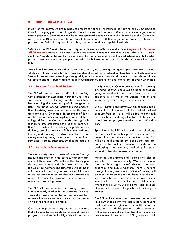# 3. OUR POLITICAL PLATFORM

In view of the above, we are pleased to present to you the PPP Political Platform for the 2020 elections. Ours is a simple, yet powerful agenda. We have resisted the temptation to produce a huge book of empty promises. Ghanaians have been disappointed enough times in this Fourth Republic. Ghana already has the Directive Principles of State Policies in our Constitution to guide our agenda, policies and programmes. What is required is capable, competent and incorruptible leadership.

With that, the PPP seeks the opportunity to implement an effective and efficient Agenda to Empower All Ghanaians that is built on Incorruptible Leadership, Education, Healthcare and Jobs. We will implement the Agenda in the spirit of inclusiveness that will enable us to use the best Ghanaians; full participation of women, youth and people living with disabilities; and above all a leadership that is incorruptible.

We will tackle corruption head on, to eliminate waste, make savings and quadruple government revenue which we will use to pay for our transformational initiatives in education, healthcare and job creation. We will also ensure cost-savings through diligence to augment our development budget. Above all, we will create and distribute wealth through industrialisation, innovation and enterprise for every Ghanaian.

## 3.1. Just and Disciplined Society

The PPP will create a just and disciplined society, with a passion for excellence within ten years and with science and technology as the cornerstone, become a high-income country within one generation. This just society will ensure the implementation of existing laws intended to make life profitable for every Ghanaian. Enforcement of laws, application of sanctions, implementation of technology driven policies for accelerated growth, such as full implementation of National Identification Card system for efficiency in public service delivery, use of database to fight crime, facilitate housing and planning, effective biometric election management systems, social security and national insurance, licenses, passports, building permits etc.

## 3.2. Agriculture Development

The new society we will create will modernize agriculture and provide a market to sustain our farmers and fishermen. We will use the state's purchasing power to provide the assurance that the labour of our farmers and fishermen will not be in vain. We will construct good roads that link farms to market centres to ensure that our farmers are able to transport their produce for sale easily, as one way of reducing poverty.

The PPP will use the state's purchasing power to create a ready market for our farmers. The provision of a ready market for our farmers and fishermen will ensure that they are encouraged yearon-year to produce even more.

One way to provide ready market is to ensure that all public basic schools on the school feeding program as well as Senior High Schools patronize strictly, made in Ghana commodities for cooking. In Ghana today, we have our agricultural produce going waste due to our poor infrastructure – as happens in Biri-Pro in the Ashanti Region and many, many other villages in the country.

We will institute an innovative farm to school table policy that will ensure that the freshest, natural produce from our farms will be fed to our youth on daily basis to change the face of the current school feeding programme which is corruption ridden.

Specifically, the PPP will provide one boiled egg once a week to all public primary, junior high and senior high school students across the country. This will be a deliberate policy to stimulate local production in the poultry sub-sector, provide jobs in packaging, transportation, purchasing & supplying and distribution across the country.

Ministries, Departments and Agencies will also be instructed to consume strictly 'Made in Ghana' food and beverages for refreshments at all their programs and public functions. There is nothing foreign that a government of Ghana's money will be spent on unless it does not have a local alternative or substitute. For example, no government money will be spent on imported chicken anywhere in the country, unless all the local produce of poultry has been fully purchased by the government.

The PPP will empower and resource the national food buffer company with adequate warehousing facilities in every region to carry out this important mandate. Perishable products such as tomatoes will receive special storage facilities to prevent post-harvest losses. Also, a PPP government will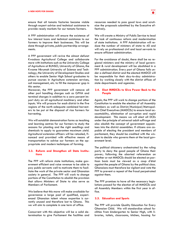ensure that all tomato factories become viable through expert advice and technical assistance to provide ready markets for our tomato farmers.

A PPP administration will ensure the existence of low interest loans and technical assistance to our farmers to improve their businesses. This will be done through private, public partnership arrangements.

A PPP government will revive the almost defunct Kwadaso Agricultural College and collaborate more with institutions such as the University College of Agriculture at BUNSO, University of Ghana, the Kwame Nkrumah University of Science and Technology, the University of Development Studies and others to enable Senior High School graduates to pursue courses in Agriculture extension services, soil management, etc. to fill the manpower gap in this sector.

Moreover, the PPP government will remove all other port handling charges such as GPHA and terminal charges in addition to a zero percent import duty on all agricultural machinery and other inputs. We will procure for each district in the five regions of the north adequate combined harvesters to be put at the disposal of rice farmers for harvesting.

We will establish demonstration farms as teaching and learning centres for our farmers to study the seasons for planting and the right seedlings and chemicals to apply to guarantee maximum yield. Agricultural extension officers will be retooled, financed and provided with effective means of transportation to advise our farmers on the appropriate and modern techniques of farming.

## 3.3. Reform and Strengthen all State Institutions

The PPP will reform state institutions, make government efficient and raise revenue to be able to pay public servants well to motivate them to facilitate the work of the private sector and Ghanaian society in general. The PPP will work to change portions of the Constitution to abolish the provision that allows Ministers of State to also serve as Members of Parliament.

We believe that this move will make available for governance a large pool of qualified, experienced Ghanaian talent whose expertise is currently unused and therefore lost to Ghana. This we will aim to complete in one term of office.

Concurrent with this objective will be a solid determination to give Parliament the facilities and resources needed to pass good laws and scrutinize the proposals submitted by the Executive effectively.

We will create a Ministry of Public Service to lead the task of continuous reform and modernisation of state institutions. A PPP Administration will reduce the number of ministers of state to 40 and will rely on professional civil and local servants to ensure efficient administration.

For the avoidance of doubt, there shall be no regional ministers and the ministry of local government & rural development will be abolished in a PPP administration. Every part of Ghana falls under a defined district and the elected MMDCE will be responsible for their day-to-day administration by working closely with the district offices of state departments and agencies.

## 3.4. Elect MMDCEs to Give Power Back to the People

Again, the PPP will work to change portions of the Constitution to enable the election of all Assembly Members as well as District/Municipal/Metropolitan Chief Executives (MMDCEs) to ensure local accountability, elimination of corruption and rapid development. This means we will elect all DCEs under the principle of universal adult suffrage and also abolish the concept of government appointees into the district assemblies. If citizens are capable of electing the president and members of parliament, they should be credited with the wisdom to decide who governs them at the local government level.

The political chicanery orchestrated by the ruling party to deny the good people of Ghana their power; following the aborted referendum on whether or not MMDCEs should be elected on partisan basis must be viewed as a coup d'état against the people of Ghana by the political class. Ghanaians must therefore be vigilant and vote the PPP to prevent a repeat of the fraud perpetrated against them.

The PPP promises to have all the necessary legislations passed for the election of all MMDCEs and all Assembly Members within the first year in office.

# 3.5. Education and Sports

The PPP will provide Quality Education for Every Ghanaian Child. We will standardize school facilities from kindergarten to Senior High, with libraries, toilets, classrooms, kitchen, housing for

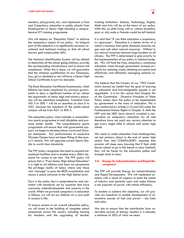teachers, playground, etc.: and implement a Free and Compulsory education in public schools from Kindergarten to Senior High including a comprehensive ICT training programme.

We will deploy an "Education Police" to enforce the compulsory aspect of our policy. An integral part of this objective is to significantly increase vocational and technical training so that all school leavers gain employable skills.

The National Identification System will be utilised to determine all the school going children, provide the corresponding infrastructure and to ensure full compliance. When this is done, we will guarantee that the minimum qualification of any Ghanaian; boy, girl or disabled or not will have a Senior High School Certificate in just two decades.

The Basic Education Certificate Examination, which hitherto has been employed by previous governments to deny a significant number of our citizen the opportunity of senior high and tertiary education will be abolished completely. Transition from JHS 3 to SHS 1 will be as seamless as class 6 to JHS1 because the standard of the public-school campus will be from KG1 to SHS 3.

This education policy vision includes a comprehensive sports programme to instil discipline and promote better health. The comprehensive sports programme will ensure that with government support, we begin to develop future world and Olympic champions. Our performances at successive Olympic Games have not been fitting of the country's stature. We will upgrade current Sports Stadia to world class standards.

The PPP policy recognizes the need to expand educational facilities and to enable every child's demand for access to be met. The PPP policy will ensure that a "Free Senior High School Education" is a right to all children and does not perpetuate the privilege reality of today where only those who "manage" to pass the BECE examination and secure a place advance to the High School level.

Ours is the policy that is comprehensive and consistent with standards set by countries that have overcome underdevelopment and poverty in the world. When we put back compulsory in education in Ghana, we will set our children on a sure path to success in life.

To ensure success in our overall education policy, we will invest in the building of complete school compounds across the country including housing for teachers and the upgrading of teacher

training institutions. Science, Technology, English, Math and Arts will be at the heart of our policy. With this, no child living with or without disability, poor or rich, male or female would be left behind.

It is said that "If you think education is expensive, try ignorance". Education is a better driver of a nation's economy than gold, diamond, bauxite, oil, gas and such other natural resources. Without it, our natural resources become huge burdens on all citizens. The PPP is determined to give priority to the implementation of our policy in national budgets. We will fund the free, compulsory, continuous education vision through government revenue primarily by reducing waste, checking corruption and effectively and efficiently managing national resources.

We believe that the framers of our 1992 Constitution shared our belief that the goal of ensuring an educated and knowledgeable people is not negotiable. It is for this reason that Chapter Six of the Constitution - Directive Principles of State Policy makes clear the policy to be implemented by government in the area of education. This is also reinforced by Articles (14) and (25) under the Fundamental Human Rights in Chapter 5. Both the NPP and the NDC have cleverly avoided a conversation on compulsory education for all and therefore have not paid any serious attention to get every single child in schools until senior high school.

We need to make education from kindergarten, not just primary school to the end of senior high school free and COMPULSORY: meaning that parents will sleep easy knowing that if their child leaves school to go to the beach or play football, they will be found by the education police and brought back to class.

# 3.6. Energy for Industrialisation and Rapid Development

The PPP will provide Energy for Industrialisation and Rapid Development. We will implement solutions with a sense of urgency to meet the needs of industry and domestic users and make Ghana a net exporter of power with utmost efficiency.

To enable us achieve this objective, we will provide tax incentives to enable development of alternative sources of fuel and power – bio fuels and solar.

We aim to ensure that the contribution from renewable sources of energy reaches in a decade, a minimum of 20% of what we need.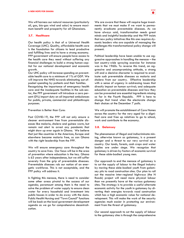We will harness our natural resources (particularly oil, gas, bio-gas wind and solar) to ensure maximum benefit and prosperity for all Ghanaians.

#### 3.7. Healthcare

Our health policy is that of a Universal Health Coverage (UHC). Quality, affordable health care is the foundation for citizens to lead productive and fulfilling lives and to have a strong economy. PPP government will ensure people have access to the health care they need without suffering any financial challenges to build a strong human capital for our national development and economic growth.

Our UHC policy will increase spending on preventable health care to a minimum of 1% of GDP. We will improve the NHIS towards eliminating out-ofpocket spending by patients and their families.

Recognizing the importance of emergency health care and the inadequate facilities in the sub-sector, the PPP government will introduce a zero percent (0%) import duty on all imported ambulances for public, private, commercial and philanthropic purposes.

#### Prevention is Better than Cure:

Post COVID-19, the PPP will not only ensure a cleaner environment free from preventable diseases like malaria, cholera and guinea worm, but remain red alert to arrest any pandemic that might show up ever again in Ghana. We believe that just like countries in the Americas, Europe and elsewhere became malaria free, so can Ghana with the right leadership from the PPP.

We will ensure emergency care throughout the country to save lives. Our focus will be in the area of prevention where education is the key. Ghana is 63 years after independence, but we still suffer severely from the grip of preventable diseases. Preventable diseases rob our nation of an energetic workforce. This is not acceptable, and the PPP policy will address it.

In fighting this menace, there is need to consider some other areas pivotal to the success of our agenda; paramount among them is the need to solve the problem of water supply to ensure clean water for every household and investment into public houses in order to do away with the slums. Public Health Nursing and "Town Council" functions will be back on the local government development agenda as we go for comprehensive decentralization.

 $\overline{PP}$ ◈

We are aware that these will require huge investments that we must make if we want to permanently eradicate preventable diseases. As we have always said, transformation needs great minds and insightful leadership and the PPP insists that new policy initiatives like this one requires dynamic leaders who are capable of managing the challenges this transformational policy change will present.

Political leadership have been unable to use aggressive approaches in handling the menace – the last country-wide spraying exercise for instance was in the 1960s. To reverse this trend, an aggressive and uncompromising attitude, a strong will and a decisive character is required to eradicate such preventable diseases as malaria and cholera from our country. Effective leadership with a sense of urgency in addressing issues that directly impact on human survival; and adequate education on preventable diseases and how they can be prevented are essential ingredients missing so far in the Fourth Republic. PPP is here to change that trend when the electorate change their choices at the December 7 polls.

We will promote the establishment of Care Homes across the country for the very aged for a dignified care and free up relatives to go to school, work and contribute to the economy.

## 3.8. Galamsey

The phenomenon of illegal and indiscriminate mining, otherwise known as galamsey, is a present danger and a threat to our very survival as a country. Our lands, forests, cash crops and water bodies are under siege. We recognize that galamsey is driven by factors of economic survival for these able-bodied young men.

Our approach to end the menace of galamsey is to cut the supply of labour to the illegal industry by moving these able-bodied youth from galamsey pits to road construction sites. Our plan to roll out the massive inter-regional highways (the N Roads) project will need more physical labour than we presently have at the various galamsey sites. The strategy is to provide a useful alternate economic activity for the youth in galamsey by diverting their energies towards road construction which has a high economic value for national development. This will make the work of the security agencies much easier in protecting our environment from the threat of galamsey.

Our second approach to cut the supply of labour to the galamsey sites is through the comprehensive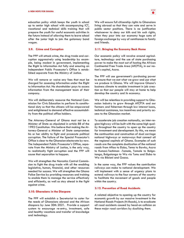$\overline{PP}$ ◈

education policy which keeps the youth in school up to senior high school with accompanying ICT, vocational and technical skills training that will prepare the youth for useful economic activities in the future instead of allowing them to leave school after the junior high to join the galamsey band wagon.

# 3.9. Crime and Corruption

The PPP will attack crime, the drug trade and corruption aggressively using leadership by example, being modest in government, implementing the Right to Information Act fully and ensuring an Independent Public Prosecutor's Office is established separate from the Ministry of Justice.

We will remove or waive any fees that must be charged for assessing information under the Right to Information Act. No shareholder pays to access information from the management team of their company.

We will deliberately resource the National Commission for Civic Education to perform its constitutional duty so that the citizens will be empowered and enlightened to demand effective accountability from the political office holders.

The Attorney-General of Ghana must not be a Minister of State as stipulated in article 88 of the 1992 Constitution. We believe that making the Attorney-General a Minister of State compromises his or her ability to fight and prosecute political corruption. The failure of the Special Prosecutor's Office is clear to the Ghanaian electorate by now. The Independent Public Prosecutor's Office, separate from the Ministry of Justice, is the only way, to realistically fight corruption and the PPP will cause that separation to happen.

We will strengthen the Narcotics Control Commission to fight the drug trade with all the enabling legislative, human, financial, and other resources needed for success. We will strengthen the Ghana Police Service by providing resources and training to enable them to manage the service effectively and efficiently, as well as stay ahead in the fight against crime.

## 3.10. Ghanaians in the Diaspora

The PPP will establish a Secretariat to cater for the needs of Ghanaians abroad and the African diaspora by June 30th 2021. Provide a support system to encourage re-entry, investment, safe and healthy vacations and transfer of knowledge and technology.

We will ensure full citizenship rights to Ghanaians living abroad so that they can vote and serve in public sector positions. There is no justification whatsoever to deny our kith and kin such rights, when they pour into our economy huge sums of foreign exchange by way of remittances to family and friends.

## 3.11. Bringing the Economy Back Home

Our economic policy will revolve around agriculture, technology and the use of state purchasing power to make the most out of hosting the African Continental Free Trade Area (AfCFTA), in our nation's capital, Accra.

The PPP will use government's purchasing power to ensure that we eat what we grow and use what we produce in Ghana. We will improve Ghana's business climate to enable investment in job creation so that our people will stay at home to help develop the country and its economy.

We will be relentless in providing support to Ghanaian industry to grow through AfCFTA and our farmers and fishermen through low interest loans, technical assistance, tax incentives and priority access to the Ghanaian market.

To accelerate job creation nationally, an inter-region highway will be built with the same high quality throughout the country to open up the country for investment and development. By this, we mean the continuation and construction of dual carriage national highways or motorways that connect all the regional capitals of Ghana. Examples of such roads are the complete dualization of the national roads from Aflao to Elubo, Tema to Bawku, Accra to Kumasi-Techiman -Tamale, Tamale to Bolgatanga, Bolgatanga to Wa via Tumu and Elubo to Wa via Bibiani and Goaso.

In the same way, the PPP values the contribution railways can make to national development. We will implement with a sense of urgency plans to extend railways to the four corners of the country to facilitate the movement of goods and people within the country.

## 3.12. Prevention of Road Accidents

A related objective to opening up the country for economic growth by our massive investment in the National Roads Projects (N-Roads), is to eradicate all road accidents caused by head-on collision on these major road corridors by dualizing them.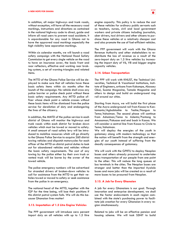In addition, all major highways and trunk roads, without exception, will have all the necessary road markings, instructions and directions as contained in the national highway code to direct, guide and inform all road users to prevent road accidents. It is unpardonable for any road in Ghana not to have the approved road markings especially the high visibility lane separation markings.

Within six calendar months, we will launch a road safety campaign with the National Road Safety Commission to get every single vehicle on the road to have an insurance cover, the basic front and rear reflectors, effective and working rear braking system, a set of warning triangles and related items.

The MTTD of the Ghana Police Service will be deployed to make sure that all vehicles have these basic safety items within six months after the launch of the campaign. No vehicle shall cross any police barrier or police check point without these basic safety requirements. Any MTTD police officer whose check point a vehicle crosses without these basic items will be dismissed from the police service for dereliction of duty and endangering the lives of the citizenry.

In addition, the MMTD of the police service in each district of Ghana will monitor the highways and trunk roads within each district for broken down vehicles which must be towed or moved to safety. A small amount of road safety levy will be introduced to mobilize resources which will go directly to the Ghana Police Service to acquire 260 district towing vehicles and dispatch motorcycles for each officer of the MTTD on district patrol duties to look out for abandoned vehicles and vehicles without the basic safety requirements. The cost of any towing by the police either by their own truck or rented truck will be borne by the owner of the towed vehicle.

The police emergency numbers will be advertised for stranded drivers of broken-down vehicles to call for assistance from the MTTD to get their vehicles towed or moved to safety or seek assistance from the police in an emergency.

The national head of the MTTD, together with the IGP for the time being, will lose their positions if this district patrol system fails. We will do this because Ghanaian lives matter!

#### 3.13. Importation of 1.5 Litre Engine Vehicles

The PPP government will introduce zero percent import duty on all vehicles with up to 1.5 litre

engine capacity. This policy is to reduce the cost of these vehicles for ordinary public servants such as teachers, nurses, civil and local government workers and private citizens including journalists, uber drivers, taxi drivers and other citizens to purchase these vehicles at a relatively cheaper cost and also promote the use of fuel-efficient vehicles.

The PPP government will work with the Ghana Revenue Authority and other stakeholders to redistribute the loss of revenue as a result of the zero-import duty on 1.5 litre vehicles by increasing the import duty of V6, V8 and bigger engine capacity vehicles.

## 3.14. Urban Transportation

The PPP will work with KNUST, the Technical Universities, Technical & Vocational Institutions, Institute of Engineers, artisans from Kokompe, Abossey Okai, Suame Magazine, Tamale Magazine and others to design and build an underground ring rail around our cities.

Starting from Accra, we will build the first phase of the Accra underground rail from Kasoa to Kantamanto/Agbobloshie to Teshie/Nungua to Tema/Ashaiman. The second phase will continue from Ashaiman/Tema to Adenta/Pantang to Amasaman/Pokuase and end back in Kasoa. We will consider a central line from Kasoa to Circle to Tema/Ashaiman.

We will deploy the energies of the youth in galamsey along with modern technology so that the nation will benefit from the strength and energies of our youth instead of suffering from the deadly consequences of galamsey.

We will work with the GPRTU to deploy Neoplan buses and others already procured to undertake mass transportation of our people from one point to the other. This will reduce the long queues at bus terminals in the cities. The Neoplan buses are stronger and better than the imported Ayalolo buses and more jobs will be created as a result of more buses to be procured from Neoplan.

#### 3.15. A Job for Every Ghanaian

A job for every Ghanaians is our goal. Through innovation and enterprise development, we shall use the factor endowments in each region combined with the state's purchasing power to facilitate job creation for every Ghanaian in every region simultaneously.

Related to jobs will be an effective pension and housing scheme. We will task SSNIT to build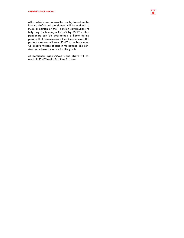affordable houses across the country to reduce the housing deficit. All pensioners will be entitled to swap a portion of their pension contributions to fully pay for housing units built by SSNIT so that pensioners can be guaranteed a home during pension that commensurate their income level. This project that we will task SSNIT to embark upon will create millions of jobs in the housing and construction sub-sector alone for the youth.

All pensioners aged 70years and above will attend all SSNIT health facilities for free.

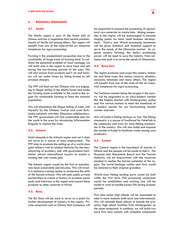# 4. REGIONAL HIGHLIGHTS

# 4.1. Ahafo

The Ahafo region is part of the forest belt of Ghana and has a vegetation that consists predominantly of fertile soil among others. The region will benefit from one of the state-of-the art industrial complexes for agro-processing.

Farming is the predominant occupation due to the availability of large tracts of farming land. To address the perennial problem of food wastage, we will build silos in the region to store food and sell during the non-farming periods of the year. This will also ensure food products don't rot and farmers will not make losses by being forced to sell produce cheaply.

The PPP will flush out the Chinese who are engaging in illegal mining in the Ahafo forest and make the farming lands available to the youth in the region for sustainable farming to feed the national population.

We will discontinue the illegal felling of trees with impunity by the Chinese, Ivorian and even Burkinabe nationals with their Ghanaian collaborators. The PPP government will find sustainable jobs for the youth in the area by introducing Afforestation Brigade to replant the trees.

## 4.2. Ashanti

Gold abounds in the Ashanti region and yet it does not serve as a source of mass employment. The PPP aims to promote the setting up of a world class gold refinery with its related factories for the manufacturing of jewellery and with government facilitation attract international buyers to create a trading hub and create jobs.

The Ashanti region would be the first to manufacture local automobile and bicycles. We will invest in a technical training centre to modernise the skills of the Suame artisans. We will seek public private partnerships to create a factory to produce cocoa sacks and footwear in the region and export these products to other countries in Africa.

# 4.3. Bono

The Bui Dam will be used to serve as a point for further development of industry in the region. Private companies such as Ghana Nuts Company will be supported to expand the processing of agricultural raw materials to create jobs. Mining companies in the region will be encouraged to become staging points for local small business development. Poultry and Wood processing businesses will be given technical and financial support to serve the needs of the Ghanaian market. As regards poultry farming, the state's purchasing power will be used to save the industry from collapse and push it to serve the needs of Ghanaians.

# 4.4. Bono East

The region produces cash crops like cashew, timber etc and food crops like maize, cassava, plantain, cocoyam, tomatoes and many others. The region will benefit from one of the state-of-the art industrial complexes for agro-processing.

The Techiman market being the largest in the country will be upgraded to an ultra-modern market like the Kejetia Market with Kindergarten, police and fire service stations to meet the standards of a modern market for our hardworking market women and men.

We will build a fishing harbour at Yeji. The fishing community is a source of livelihood for fisherfolk in the community and even for most fishing communities in the country. We will also build and expand the market in Kajeji to facilitate trade among yam producers.

## 4.5. Central

The Central region is the heartbeat of tourism in Ghana and the people will be made to feel it. The Museums and Monuments Board and the Tourism Authority will be empowered with the resources needed to realise the tourism potential of the region. The world heritage castles and forts would be restored to their original grandeur.

World class fishing landing ports would be built within the first term. Fish processing companies would be established and existing one will be made to work to handle excess fish during bumper periods.

First class senior high schools will be expanded to take in more students both local and international. We will remodel these schools to include the presenior high school facilities from Kindergarten on the same compound. In addition, we will build two more first class schools with complete compounds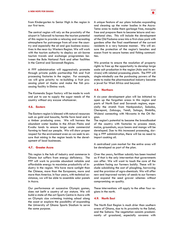

from Kindergarten to Senior High in the region in our first term.

The central region will rely on the proximity of the airport in Takoradi to harness the tourism potential of this region to provide a relaxing and recreating atmosphere for patronage from all over the country and especially the oil and gas business executives in the near-by Western Region. We will work with the tourism authority to deploy an air-borne tourism travels and exchange programmes between the Bole National Park and other facilities in the Central and Savannah Regions.

A PPP administration will aggressively promote through private public partnership fish and fruit processing factories in the region. For example, we will give priority to re-building a fruit processing plant at Asebu and make the fish processing facility in Elmina work.

The Komenda Sugar factory will be made to work and put to use to supply the sugar needs of the country without any excuse whatsoever.

## 4.6. Eastern

The Eastern region is blessed with natural resources such as gold and bauxite, fertile farm land and is a timber producing area. We will harness the abundant water bodies in the Afram Plains and Kwahu lands to ensure large scale commercial farming to feed our people. We will show proper respect for the environment even as we seek to ensure that mining in the region leads to the development of local businesses.

## 4.7. Greater Accra

This region is the hub of industry and commerce in Ghana but suffers from energy deficiency. The PPP will work to provide abundant reliable and affordable energy to maximise productivity of industry in the region. We have more sunlight than the Chinese, more than the Europeans, more and more than America. In four years, with technical assistance, we will be able to assemble solar panels in Accra.

Our performance at successive Olympic games, does not befit a country of our stature. We will build a state-of-the-art Sports Centre in Accra with an Olympic size swimming training school along the coast or explore the possibility of expanding the University of Ghana Sports Stadium to serve the same purpose.

A unique feature of our plans includes expanding and cleaning up the water bodies in the Accra-Tema area to make them garbage free, mosquito free and prepare them to become leisure and recreational sites. This will include the development of the Old Fadama area into a first-class park with gardens after the final resettlement of the current residents in a very humane manner. We will ensure the protection of the region's beaches and ocean front to secure homes and fishing communities.

We promise to ensure the resolution of property rights to free up the opportunity to develop large scale salt production in the region (Ada and its environs) with related processing plants. The PPP will single-mindedly use the purchasing powers of the state to make the pharmaceutical industry become a jewel for West Africa and beyond.

## 4.8. Northern

A six-year development plan will be initiated to open up the forgotten areas in this region and parts of North East and Savanah regions, especially the stretch from Nankpanduri, Saboba, Chereponi, Zabzugu, Yendi, Salaga, Bimbilla, Wulensi connecting with Nkwanta in the Oti Region.

The region's potential to become the breadbasket of the country with factories to process meat, maize, groundnuts, soya beans and mango will be developed. Due to this increased processing, during a PPP administration, there will be no need to import cooking oil.

A centralised yam market for the entire area will be developed as part of the plan.

Over the years, fertiliser subsidy has been treated as if that is the only intervention that governments can offer. We will want to touch the core of the problem facing our farmers boldly. These will include subsidising the cost of ploughing, harrowing and the provision of agro-chemicals. We will offer new and improved variety of seeds to our farmers and expand the seed grower schemes without compromising on quality.

These interventions will apply to the other four regions in the north.

#### 4.9. North East

The North East Region is much drier than southern areas of Ghana, due to its proximity to the Sahel, and the Sahara. The vegetation consists predominantly of grassland, especially savanna with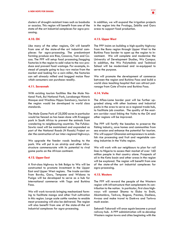clusters of drought-resistant trees such as baobabs or acacias. This region will benefit from one of the state-of-the art industrial complexes for agro-processing.

## 4.10. Oti

Like many of the other regions, Oti will benefit from one of the state-of-the art industrial complexes for agro-processing. The predominant farming produce are Rice, Cassava, Yam and Cocoa. The PPP will setup food processing/bagging factories in the region to add value to the raw produce and prevent food wastage. For example, instead of people going to buy raw maize from the market and looking for a corn miller, the factories can sell already milled and bagged maize flour which consumers can purchase readily.

## 4.11. Savannah

With existing tourism facilities like the Mole National Park, Bui National Park, Larabanga Historic Mosque and Wechiau Hippo Sanctuary, tourism in the region would be developed to world class standards.

The Mole Game Park of 25,000 acres in particular would be fenced as has been done with Krueggar park in South Africa to prevent the animals from wandering to neighbouring countries. The Fufulso-Sawla road will be maintained and expanded as part of the National Roads (N Roads) Project under the construction of our inter-regional highways.

We upgrade the feeder roads leading to the park. We will put in an airstrip and other infrastructure commensurate with its potential to rival game parks on the African continent.

#### 4.12. Upper East

A first-class highway to link Bolga to Wa will be constructed to promote investment in the Upper East and Upper West regions. The trade corridor from Bawku, Garu, Tempane and Widana to Pusiga will be developed to serve as a hub for international commerce with Togo and Burkina Faso.

We will work towards bringing mechanized farming to facilitate mango and other fruit cultivation in this region. Large scale cattle ranches to enable meat processing will also be delivered. The region will also benefit from one of the state-of-the art industrial complexes for agro-processing.

In addition, we will expand the irrigation projects in the region into the Pwalugu, Zebilla and Garu areas to support food production.

#### 4.13. Upper West

The PPP insists on building a high-quality highway from the Bono region through Upper West to the Burkina Faso border to open up the region to investment. We will complete and modernise the University of Development Studies, Wa Campus. In addition, the Wa Polytechnic and Technical School will be modernised and re-equipped to serve the purpose.

We will promote the development of commerce between the region and Burkina Faso and build a world class teaching hospital that can attract patronage from Cote d'Ivoire and Burkina Faso.

#### 4.14. Volta

The Aflao-Lome border post will be further upgraded along with other business and industrial parks in the area to serve as a regional trade hub, to facilitate job creation. The quality of the eastern corridor road linking the Volta to the Oti and other regions will be improved.

The PPP will fortify the beaches to preserve the fishing industry, save homes and communities from sea erosion and enhance the potential for tourism. We will support Ghanaian entrepreneurs to establish rice processing and fruit and vegetable canning industries in the Volta region.

We will work with our neighbours to plan for rail lines to Nigeria to access their market of over 160 million people in that country alone. Prospects of oil in the Keta basin and other areas in the region will be explored. The region will benefit from one of the state-of-the art industrial complexes for agro-processing.

#### 4.15. Western

The PPP will reward the people of the Western region with infrastructure that complements its contribution to the nation. In particular, first class highways will connect Shama to Elubo to Enchi, Akontombra, Tarkwa, Bogoso, Prestea, Dadieso, Awaso and make travel to Dunkwa and Tarkwa much easier.

Sekondi-Takoradi will once again become a proud railway hub. A PPP administration will re-develop Western region towns and cities beginning with the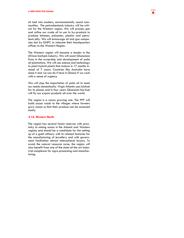oil belt into modern, environmentally sound communities. The petrochemicals industry will be critical for the Western region. We will process gas and refine our crude oil to use its by-products to produce bitumen, polyester, plastics and petroleum jelly. We will encourage oil and gas companies led by GNPC to relocate their headquarters offices to the Western Region.

The Western region will become a leader in the African biofuels industry. We will assist Ghanaians firms in the ownership and development of palm oil plantations. We will use science and technology to plant hybrid plants that mature in 17 months instead of 7 years. Countries like Australia have done it and we can do it here in Ghana if we work with a sense of urgency.

We will stop the importation of palm oil to meet our needs domestically. Virgin Atlantic uses biofuel for its planes and in four years Ghanaian bio-fuel will fly our export products all over the world.

The region is a cocoa growing one. The PPP will build cocoa roads to the villages where farmers grow cocoa so that their produce can be accessed easily.

#### 4.16. Western North

The region has several forest reserves with proximity to mining areas in the Ashanti and Western regions and should be a candidate for the setting up of a gold refinery with its related factories for the manufacturing of jewellery and with government facilitation attract international buyers. To avoid the natural resource curse, the region will also benefit from one of the state-of-the art industrial complexes for agro-processing and manufacturing.